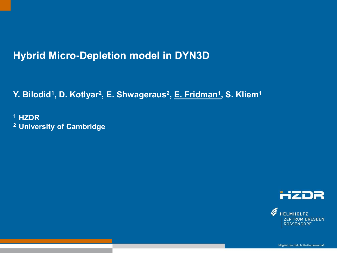# **Hybrid Micro-Depletion model in DYN3D**

**Y. Bilodid<sup>1</sup> , D. Kotlyar<sup>2</sup> , E. Shwageraus<sup>2</sup> , E. Fridman<sup>1</sup> , S. Kliem<sup>1</sup>**

Text optional: Institutsname Prof. Dr. Hans Mustermann www.fzd.de Mitglied der Leibniz-Gemeinschaft

**<sup>1</sup>HZDR 2 University of Cambridge**



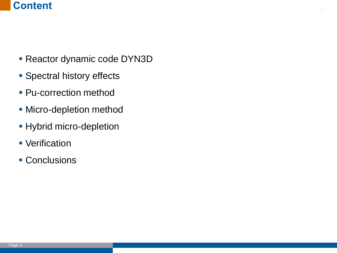# **Content**

- **Reactor dynamic code DYN3D**
- **Spectral history effects**
- **Pu-correction method**
- **Micro-depletion method**
- **Hybrid micro-depletion**
- **Verification**
- **Conclusions**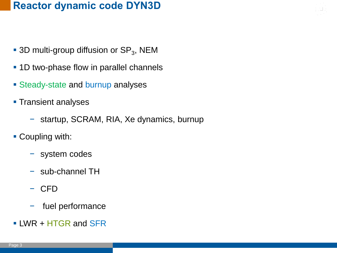# **Reactor dynamic code DYN3D**

- **-3D multi-group diffusion or SP<sub>3</sub>, NEM**
- **1D two-phase flow in parallel channels**
- **Steady-state and burnup analyses**
- **Transient analyses** 
	- − startup, SCRAM, RIA, Xe dynamics, burnup
- **Coupling with:** 
	- − system codes
	- − sub-channel TH
	- − CFD
	- − fuel performance
- LWR + HTGR and SFR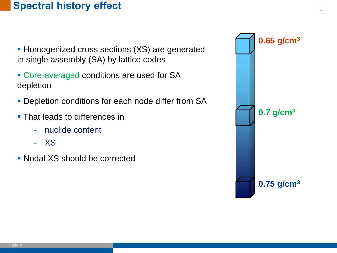# **Spectral history effect**

- **Homogenized cross sections (XS) are generated** in single assembly (SA) by lattice codes
- **Core-averaged conditions are used for SA** depletion
- **Depletion conditions for each node differ from SA**
- **That leads to differences in** 
	- nuclide content
	- XS
- Nodal XS should be corrected

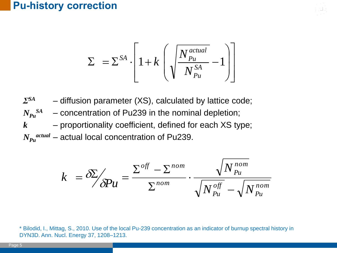#### **Pu-history correction**

$$
\Sigma = \Sigma^{SA} \cdot \left[ 1 + k \left( \sqrt{\frac{N_{Pu}^{actual}}{N_{Pu}^{SA}} - 1} \right) \right]
$$

*ΣSA* – diffusion parameter (XS), calculated by lattice code;  $N_{Pu}$ *SA* - concentration of Pu239 in the nominal depletion; *k* – proportionality coefficient, defined for each XS type; *NPu actual* – actual local concentration of Pu239.

$$
k = \frac{\delta \sum p_{\text{u}}}{\delta P u} = \frac{\sum^{off} - \sum^{nom}}{\sum^{nom}} \cdot \frac{\sqrt{N_{\text{pu}}^{\text{nom}}}}{\sqrt{N_{\text{pu}}^{\text{off}} - \sqrt{N_{\text{pu}}^{\text{nom}}}}}
$$

\* Bilodid, I., Mittag, S., 2010. Use of the local Pu-239 concentration as an indicator of burnup spectral history in DYN3D. Ann. Nucl. Energy 37, 1208–1213.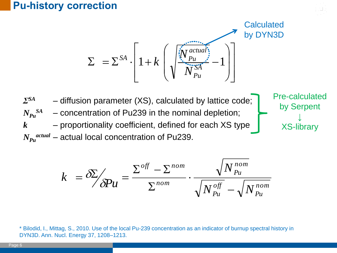#### **Pu-history correction**

$$
\Sigma = \Sigma^{SA} \cdot \left[ 1 + k \left( \sqrt{\frac{\sum_{i=1}^{s} a_{i}^{actual}}{N_{Pu}^{S}} - 1} \right) \right]
$$

Pre-calculated

by Serpent

↓

XS-library

*ΣSA* – diffusion parameter (XS), calculated by lattice code;  $N_{Pu}$ *SA*  $-$  concentration of Pu239 in the nominal depletion; *k* – proportionality coefficient, defined for each XS type *NPu actual* – actual local concentration of Pu239.

$$
k = \frac{\delta \sum p_{\text{u}}}{\delta P u} = \frac{\sum^{off} - \sum^{nom}}{\sum^{nom}} \cdot \frac{\sqrt{N_{\text{pu}}^{\text{nom}}}}{\sqrt{N_{\text{pu}}^{\text{off}} - \sqrt{N_{\text{pu}}^{\text{nom}}}}}
$$

\* Bilodid, I., Mittag, S., 2010. Use of the local Pu-239 concentration as an indicator of burnup spectral history in DYN3D. Ann. Nucl. Energy 37, 1208–1213.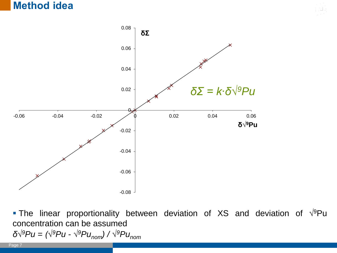#### **Method idea**



*δ√<sup>9</sup>Pu = (√<sup>9</sup>Pu - √ <sup>9</sup>Punom) / √ <sup>9</sup>Punom* The linear proportionality between deviation of XS and deviation of  $\sqrt{9}$ Pu concentration can be assumed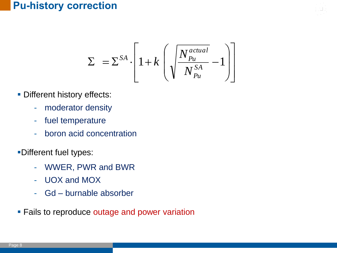## **Pu-history correction**

$$
\Sigma = \Sigma^{SA} \cdot \left[ 1 + k \left( \sqrt{\frac{N_{Pu}^{actual}}{N_{Pu}^{SA}} - 1} \right) \right]
$$

- **Different history effects:** 
	- moderator density
	- fuel temperature
	- boron acid concentration
- Different fuel types:
	- WWER, PWR and BWR
	- UOX and MOX
	- Gd burnable absorber
- **Fails to reproduce outage and power variation**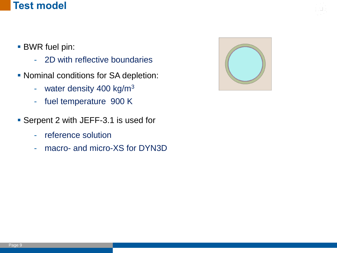#### **Test model**

- BWR fuel pin:
	- 2D with reflective boundaries
- **Nominal conditions for SA depletion:** 
	- water density 400 kg/m<sup>3</sup>
	- fuel temperature 900 K
- **Serpent 2 with JEFF-3.1 is used for** 
	- reference solution
	- macro- and micro-XS for DYN3D

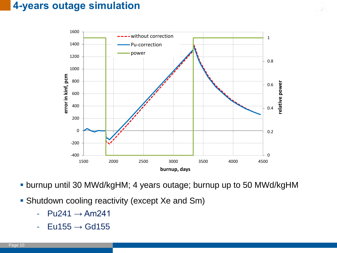## **4-years outage simulation**



burnup until 30 MWd/kgHM; 4 years outage; burnup up to 50 MWd/kgHM

- **Shutdown cooling reactivity (except Xe and Sm)** 
	- $-$  Pu241  $\rightarrow$  Am241
	- $-$  Eu155  $\rightarrow$  Gd155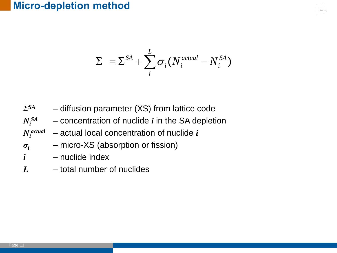# **Micro-depletion method**

$$
\Sigma = \Sigma^{SA} + \sum_{i}^{L} \sigma_i (N_i^{actual} - N_i^{SA})
$$

| $\sum SA$        | - diffusion parameter (XS) from lattice code       |
|------------------|----------------------------------------------------|
| $N_i^{SA}$       | - concentration of nuclide $i$ in the SA depletion |
| $N_i^{actual}$   | $-$ actual local concentration of nuclide $i$      |
| $\sigma_i$       | - micro-XS (absorption or fission)                 |
| $\boldsymbol{i}$ | - nuclide index                                    |
|                  | total number of nuclides                           |

*L* – total number of nuclides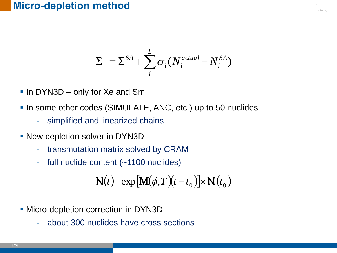#### **Micro-depletion method**

$$
\Sigma = \Sigma^{SA} + \sum_{i}^{L} \sigma_i (N_i^{actual} - N_i^{SA})
$$

- In DYN3D only for Xe and Sm
- In some other codes (SIMULATE, ANC, etc.) up to 50 nuclides
	- simplified and linearized chains
- **New depletion solver in DYN3D** 
	- transmutation matrix solved by CRAM
	- full nuclide content (~1100 nuclides)

$$
N(t) = \exp\left[M(\phi, T)(t - t_0)\right] \times N(t_0)
$$
  
cro-depletion correction in DYN3D  
- about 300 nuclides have cross sections

- **Micro-depletion correction in DYN3D** 
	-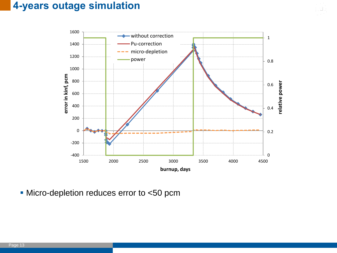## **4-years outage simulation**



Micro-depletion reduces error to <50 pcm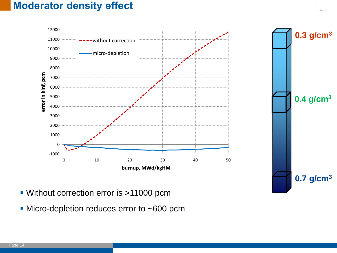## **Moderator density effect**



- Without correction error is >11000 pcm
- Micro-depletion reduces error to ~600 pcm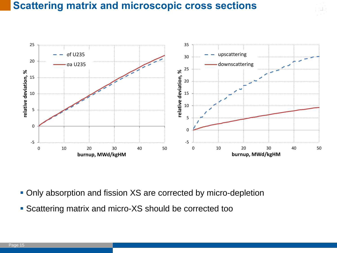## **Scattering matrix and microscopic cross sections**



- **Only absorption and fission XS are corrected by micro-depletion**
- Scattering matrix and micro-XS should be corrected too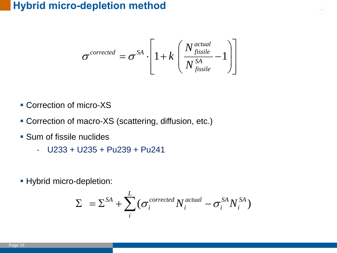## **Hybrid micro-depletion method**

$$
\sigma^{corrected} = \sigma^{SA} \cdot \left[ 1 + k \left( \frac{N_{fissile}^{actual}}{N_{fissile}^{SA}} - 1 \right) \right]
$$

- **Correction of micro-XS**
- Correction of macro-XS (scattering, diffusion, etc.)
- **Sum of fissile nuclides** 
	- $-$  U233 + U235 + Pu239 + Pu241
- **Hybrid micro-depletion:**

$$
\Sigma = \Sigma^{SA} + \sum_{i}^{L} (\sigma_i^{corrected} N_i^{actual} - \sigma_i^{SA} N_i^{SA})
$$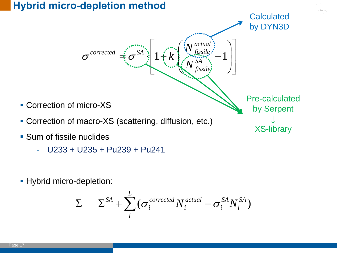### **Hybrid micro-depletion method**



- U233 + U235 + Pu239 + Pu241
- **Hybrid micro-depletion:**

$$
\Sigma = \Sigma^{SA} + \sum_{i}^{L} (\sigma_i^{corrected} N_i^{actual} - \sigma_i^{SA} N_i^{SA})
$$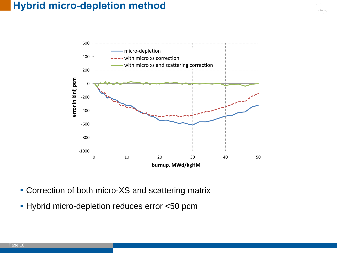## **Hybrid micro-depletion method**



- **Correction of both micro-XS and scattering matrix**
- **Hybrid micro-depletion reduces error <50 pcm**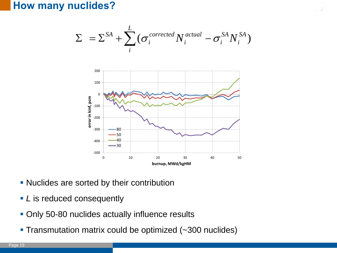#### **How many nuclides?**

$$
\Sigma = \Sigma^{SA} + \sum_{i}^{L} (\sigma_i^{corrected} N_i^{actual} - \sigma_i^{SA} N_i^{SA})
$$



- **Nuclides are sorted by their contribution**
- *L* is reduced consequently
- **Only 50-80 nuclides actually influence results**
-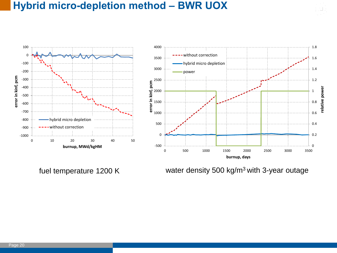### **Hybrid micro-depletion method – BWR UOX**

-1000 -900 -800 -700 -600 -500 -400 -300 -200 -100  $\Omega$ 100 0 10 20 30 40 50 **error in kinf, pcm burnup, MWd/kgHM** hybrid micro depletion without correction



fuel temperature 1200 K water density 500 kg/m<sup>3</sup>with 3-year outage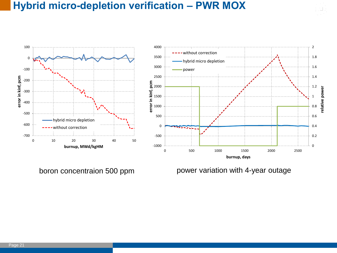#### **Hybrid micro-depletion verification – PWR MOX**

-700 -600 -500 -400 -300 -200 -100 0 100 0 10 20 30 40 50 **error in kinf, pcm burnup, MWd/kgHM** hybrid micro depletion without correction



boron concentraion 500 ppm power variation with 4-year outage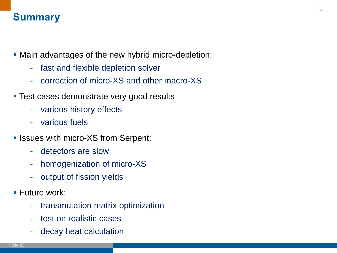# **Summary**

- Main advantages of the new hybrid micro-depletion:
	- fast and flexible depletion solver
	- correction of micro-XS and other macro-XS
- **Test cases demonstrate very good results** 
	- various history effects
	- various fuels
- **In Issues with micro-XS from Serpent:** 
	- detectors are slow
	- homogenization of micro-XS
	- output of fission yields
- **Future work:** 
	- transmutation matrix optimization
	- test on realistic cases
	- decay heat calculation